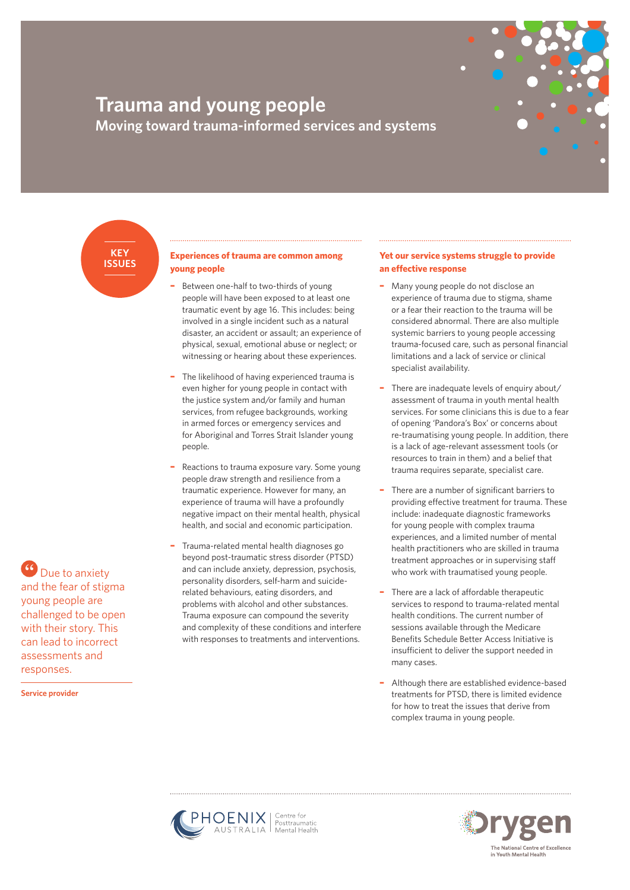# **Trauma and young people Moving toward trauma-informed services and systems**

**KEY ISSUES**

## **Experiences of trauma are common among young people**

- **–** Between one-half to two-thirds of young people will have been exposed to at least one traumatic event by age 16. This includes: being involved in a single incident such as a natural disaster, an accident or assault; an experience of physical, sexual, emotional abuse or neglect; or witnessing or hearing about these experiences.
- **–** The likelihood of having experienced trauma is even higher for young people in contact with the justice system and/or family and human services, from refugee backgrounds, working in armed forces or emergency services and for Aboriginal and Torres Strait Islander young people.
- **–** Reactions to trauma exposure vary. Some young people draw strength and resilience from a traumatic experience. However for many, an experience of trauma will have a profoundly negative impact on their mental health, physical health, and social and economic participation.
- **–** Trauma-related mental health diagnoses go beyond post-traumatic stress disorder (PTSD) and can include anxiety, depression, psychosis, personality disorders, self-harm and suiciderelated behaviours, eating disorders, and problems with alcohol and other substances. Trauma exposure can compound the severity and complexity of these conditions and interfere with responses to treatments and interventions.

# **Yet our service systems struggle to provide an effective response**

- **–** Many young people do not disclose an experience of trauma due to stigma, shame or a fear their reaction to the trauma will be considered abnormal. There are also multiple systemic barriers to young people accessing trauma-focused care, such as personal financial limitations and a lack of service or clinical specialist availability.
- **–** There are inadequate levels of enquiry about/ assessment of trauma in youth mental health services. For some clinicians this is due to a fear of opening 'Pandora's Box' or concerns about re-traumatising young people. In addition, there is a lack of age-relevant assessment tools (or resources to train in them) and a belief that trauma requires separate, specialist care.
- **–** There are a number of significant barriers to providing effective treatment for trauma. These include: inadequate diagnostic frameworks for young people with complex trauma experiences, and a limited number of mental health practitioners who are skilled in trauma treatment approaches or in supervising staff who work with traumatised young people.
- **–** There are a lack of affordable therapeutic services to respond to trauma-related mental health conditions. The current number of sessions available through the Medicare Benefits Schedule Better Access Initiative is insufficient to deliver the support needed in many cases.
- **–** Although there are established evidence-based treatments for PTSD, there is limited evidence for how to treat the issues that derive from complex trauma in young people.



**Service provider**